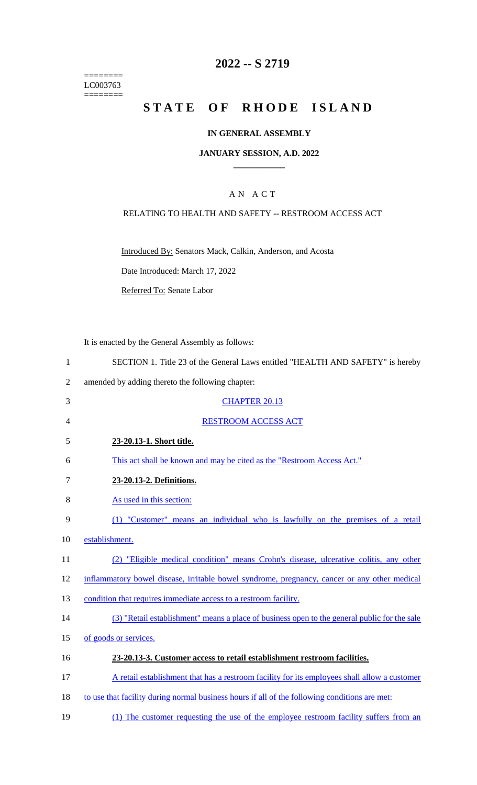======== LC003763 ========

# **2022 -- S 2719**

# **STATE OF RHODE ISLAND**

### **IN GENERAL ASSEMBLY**

### **JANUARY SESSION, A.D. 2022 \_\_\_\_\_\_\_\_\_\_\_\_**

# A N A C T

### RELATING TO HEALTH AND SAFETY -- RESTROOM ACCESS ACT

Introduced By: Senators Mack, Calkin, Anderson, and Acosta

Date Introduced: March 17, 2022

Referred To: Senate Labor

It is enacted by the General Assembly as follows:

| SECTION 1. Title 23 of the General Laws entitled "HEALTH AND SAFETY" is hereby |
|--------------------------------------------------------------------------------|
|--------------------------------------------------------------------------------|

- 2 amended by adding thereto the following chapter:
- 3 CHAPTER 20.13 4 RESTROOM ACCESS ACT 5 **23-20.13-1. Short title.**  6 This act shall be known and may be cited as the "Restroom Access Act." 7 **23-20.13-2. Definitions.**  8 As used in this section: 9 (1) "Customer" means an individual who is lawfully on the premises of a retail 10 establishment.
- 11 (2) "Eligible medical condition" means Crohn's disease, ulcerative colitis, any other
- 12 inflammatory bowel disease, irritable bowel syndrome, pregnancy, cancer or any other medical
- 13 condition that requires immediate access to a restroom facility.
- 14 (3) "Retail establishment" means a place of business open to the general public for the sale
- 15 of goods or services.

#### 16 **23-20.13-3. Customer access to retail establishment restroom facilities.**

- 17 A retail establishment that has a restroom facility for its employees shall allow a customer
- 18 to use that facility during normal business hours if all of the following conditions are met:
- 19 (1) The customer requesting the use of the employee restroom facility suffers from an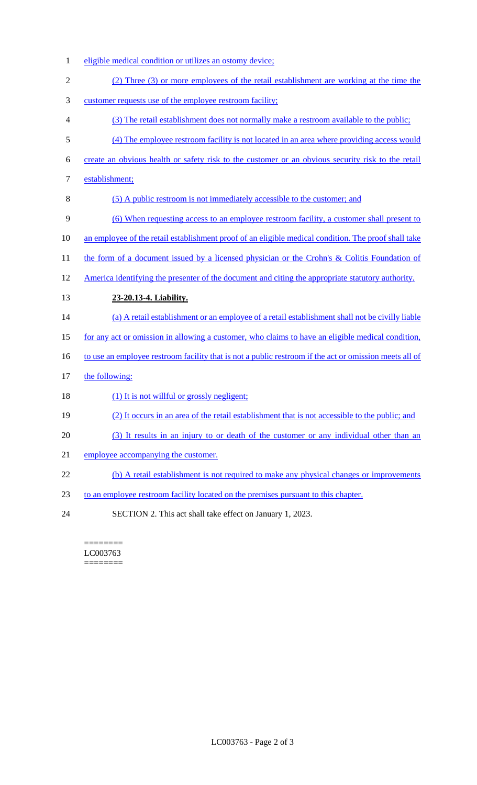- eligible medical condition or utilizes an ostomy device;
- (2) Three (3) or more employees of the retail establishment are working at the time the
- customer requests use of the employee restroom facility;
- (3) The retail establishment does not normally make a restroom available to the public;
- (4) The employee restroom facility is not located in an area where providing access would
- create an obvious health or safety risk to the customer or an obvious security risk to the retail
- establishment;
- (5) A public restroom is not immediately accessible to the customer; and
- (6) When requesting access to an employee restroom facility, a customer shall present to
- 10 an employee of the retail establishment proof of an eligible medical condition. The proof shall take
- 11 the form of a document issued by a licensed physician or the Crohn's & Colitis Foundation of
- America identifying the presenter of the document and citing the appropriate statutory authority.
- **23-20.13-4. Liability.**
- (a) A retail establishment or an employee of a retail establishment shall not be civilly liable
- for any act or omission in allowing a customer, who claims to have an eligible medical condition,
- 16 to use an employee restroom facility that is not a public restroom if the act or omission meets all of
- 17 the following:
- 18 (1) It is not willful or grossly negligent;
- (2) It occurs in an area of the retail establishment that is not accessible to the public; and
- (3) It results in an injury to or death of the customer or any individual other than an
- employee accompanying the customer.
- 22 (b) A retail establishment is not required to make any physical changes or improvements
- to an employee restroom facility located on the premises pursuant to this chapter.
- SECTION 2. This act shall take effect on January 1, 2023.

======== LC003763 ========